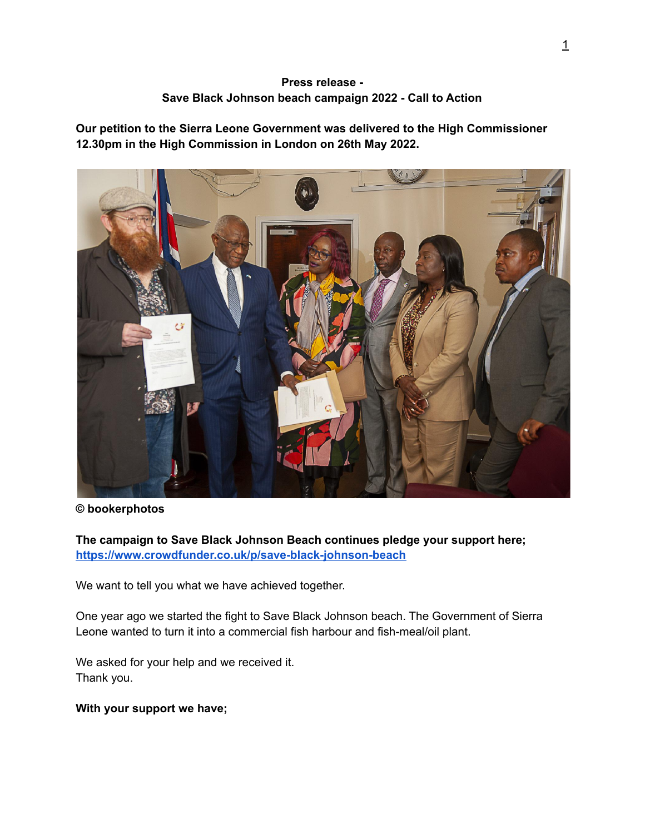## **Press release - Save Black Johnson beach campaign 2022 - Call to Action**

**Our petition to the Sierra Leone Government was delivered to the High Commissioner 12.30pm in the High Commission in London on 26th May 2022.**



#### **© bookerphotos**

**The campaign to Save Black Johnson Beach continues pledge your support here; <https://www.crowdfunder.co.uk/p/save-black-johnson-beach>**

We want to tell you what we have achieved together.

One year ago we started the fight to Save Black Johnson beach. The Government of Sierra Leone wanted to turn it into a commercial fish harbour and fish-meal/oil plant.

We asked for your help and we received it. Thank you.

#### **With your support we have;**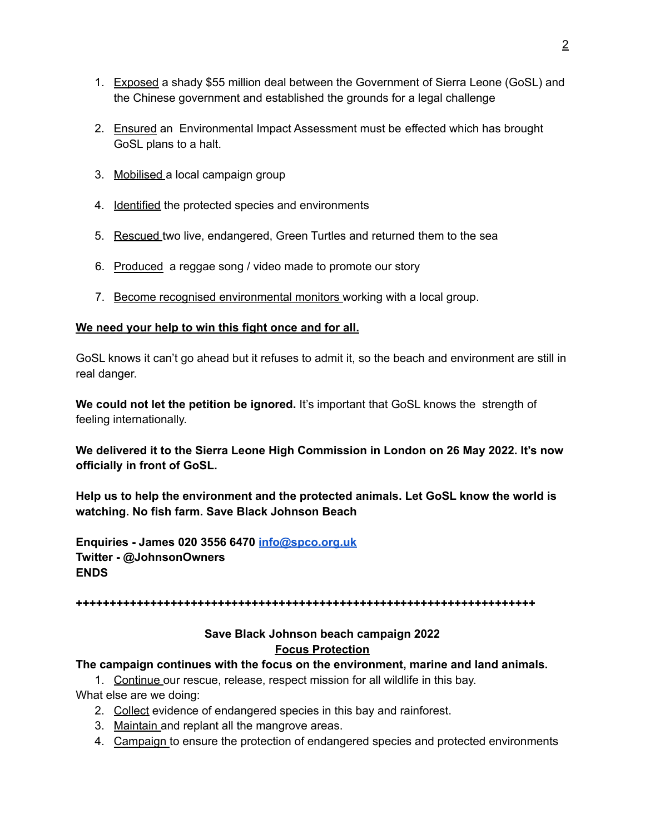- 1. Exposed a shady \$55 million deal between the Government of Sierra Leone (GoSL) and the Chinese government and established the grounds for a legal challenge
- 2. Ensured an Environmental Impact Assessment must be effected which has brought GoSL plans to a halt.
- 3. Mobilised a local campaign group
- 4. **Identified the protected species and environments**
- 5. Rescued two live, endangered, Green Turtles and returned them to the sea
- 6. Produced a reggae song / video made to promote our story
- 7. Become recognised environmental monitors working with a local group.

## **We need your help to win this fight once and for all.**

GoSL knows it can't go ahead but it refuses to admit it, so the beach and environment are still in real danger.

**We could not let the petition be ignored.** It's important that GoSL knows the strength of feeling internationally.

**We delivered it to the Sierra Leone High Commission in London on 26 May 2022. It's now officially in front of GoSL.**

**Help us to help the environment and the protected animals. Let GoSL know the world is watching. No fish farm. Save Black Johnson Beach**

**Enquiries - James 020 3556 6470 [info@spco.org.uk](mailto:info@spco.org.uk) Twitter - @JohnsonOwners ENDS**

**++++++++++++++++++++++++++++++++++++++++++++++++++++++++++++++++++++**

# **Save Black Johnson beach campaign 2022 Focus Protection**

#### **The campaign continues with the focus on the environment, marine and land animals.**

1. Continue our rescue, release, respect mission for all wildlife in this bay. What else are we doing:

- 2. Collect evidence of endangered species in this bay and rainforest.
- 3. Maintain and replant all the mangrove areas.
- 4. Campaign to ensure the protection of endangered species and protected environments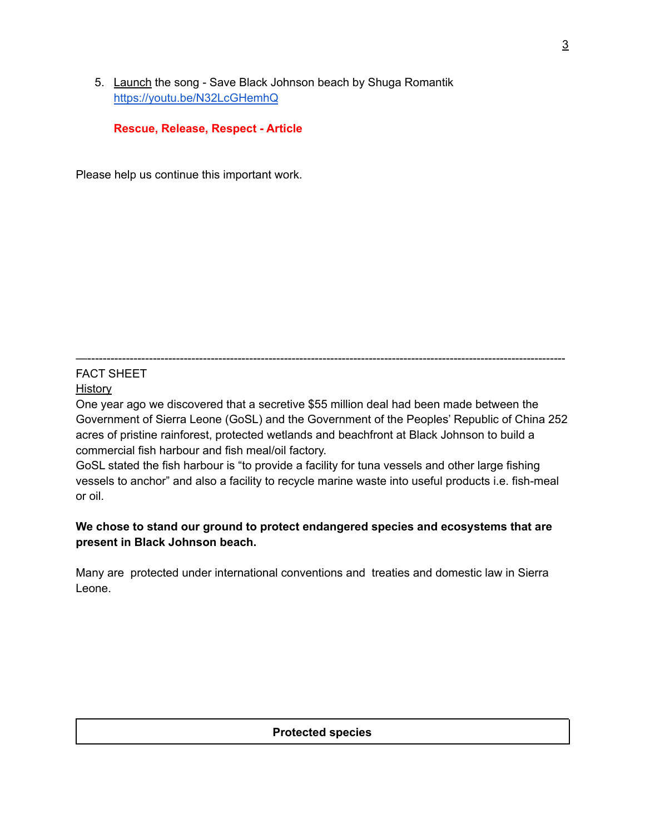5. Launch the song - Save Black Johnson beach by Shuga Romantik <https://youtu.be/N32LcGHemhQ>

**Rescue, Release, Respect - Article**

Please help us continue this important work.

—---------------------------------------------------------------------------------------------------------------------------- FACT SHEET

# History

One year ago we discovered that a secretive \$55 million deal had been made between the Government of Sierra Leone (GoSL) and the Government of the Peoples' Republic of China 252 acres of pristine rainforest, protected wetlands and beachfront at Black Johnson to build a commercial fish harbour and fish meal/oil factory.

GoSL stated the fish harbour is "to provide a facility for tuna vessels and other large fishing vessels to anchor" and also a facility to recycle marine waste into useful products i.e. fish-meal or oil.

# **We chose to stand our ground to protect endangered species and ecosystems that are present in Black Johnson beach.**

Many are protected under international conventions and treaties and domestic law in Sierra Leone.

#### **Protected species**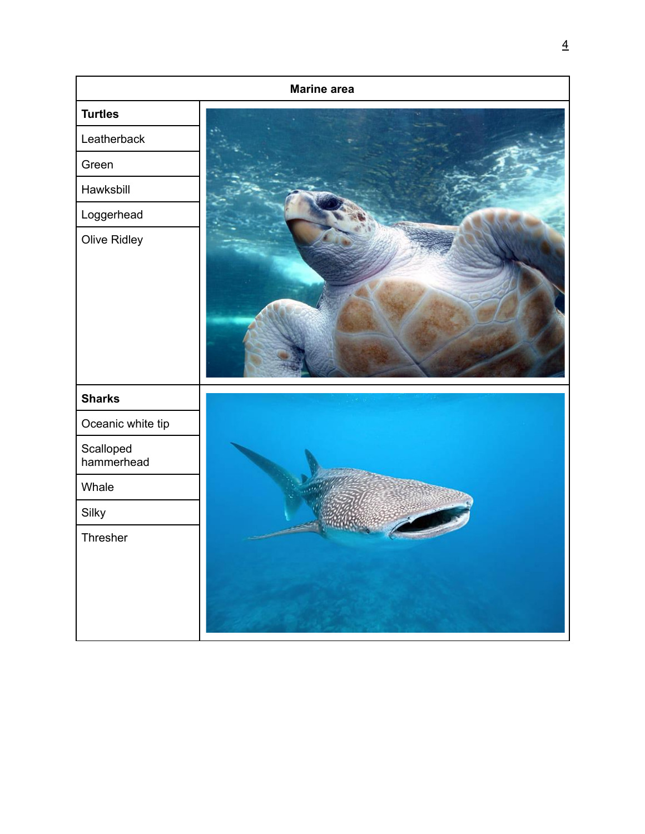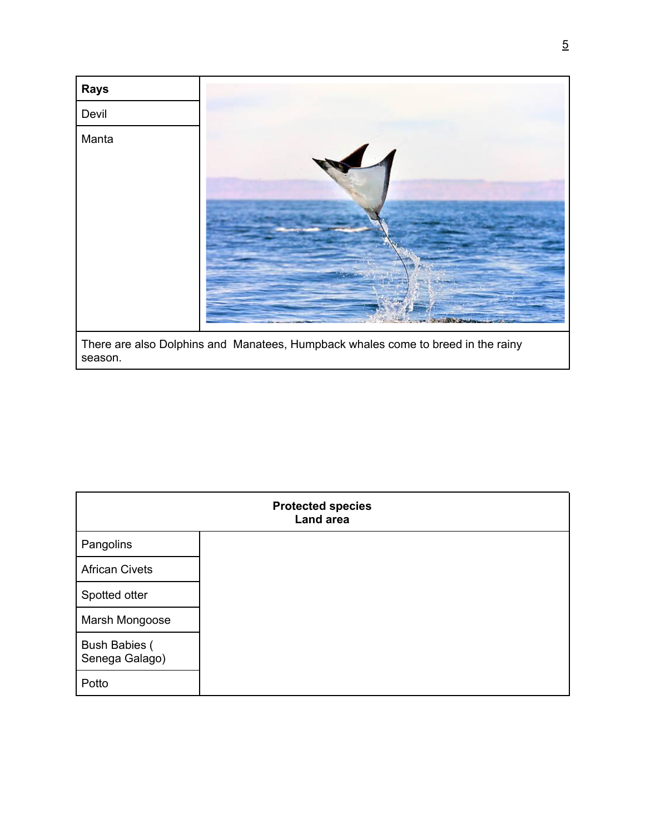

| season. |  |
|---------|--|
|---------|--|

| <b>Protected species</b><br>Land area  |  |  |
|----------------------------------------|--|--|
| Pangolins                              |  |  |
| <b>African Civets</b>                  |  |  |
| Spotted otter                          |  |  |
| Marsh Mongoose                         |  |  |
| <b>Bush Babies (</b><br>Senega Galago) |  |  |
| Potto                                  |  |  |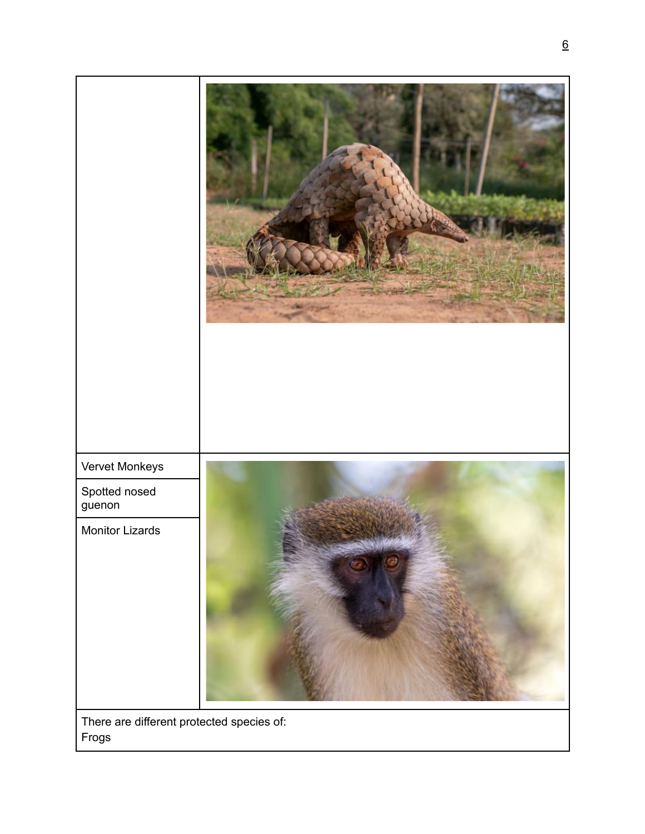